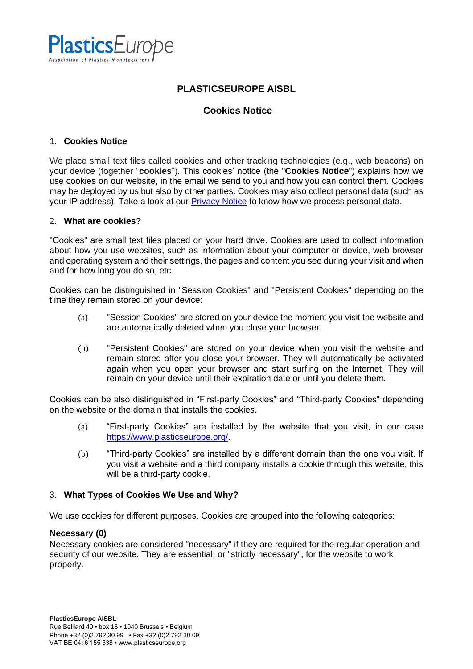

# **PLASTICSEUROPE AISBL**

## **Cookies Notice**

#### 1. **Cookies Notice**

We place small text files called cookies and other tracking technologies (e.g., web beacons) on your device (together "**cookies**"). This cookies' notice (the "**Cookies Notice**") explains how we use cookies on our website, in the email we send to you and how you can control them. Cookies may be deployed by us but also by other parties. Cookies may also collect personal data (such as your IP address). Take a look at our [Privacy Notice](https://www.plasticseurope.org/download_file/4384/0) to know how we process personal data.

#### 2. **What are cookies?**

"Cookies" are small text files placed on your hard drive. Cookies are used to collect information about how you use websites, such as information about your computer or device, web browser and operating system and their settings, the pages and content you see during your visit and when and for how long you do so, etc.

Cookies can be distinguished in "Session Cookies" and "Persistent Cookies" depending on the time they remain stored on your device:

- (a) "Session Cookies" are stored on your device the moment you visit the website and are automatically deleted when you close your browser.
- (b) "Persistent Cookies" are stored on your device when you visit the website and remain stored after you close your browser. They will automatically be activated again when you open your browser and start surfing on the Internet. They will remain on your device until their expiration date or until you delete them.

Cookies can be also distinguished in "First-party Cookies" and "Third-party Cookies" depending on the website or the domain that installs the cookies.

- (a) "First-party Cookies" are installed by the website that you visit, in our case [https://www.plasticseurope.org/.](https://www.plasticseurope.org/)
- (b) "Third-party Cookies" are installed by a different domain than the one you visit. If you visit a website and a third company installs a cookie through this website, this will be a third-party cookie.

## 3. **What Types of Cookies We Use and Why?**

We use cookies for different purposes. Cookies are grouped into the following categories:

#### **Necessary (0)**

Necessary cookies are considered "necessary" if they are required for the regular operation and security of our website. They are essential, or "strictly necessary", for the website to work properly.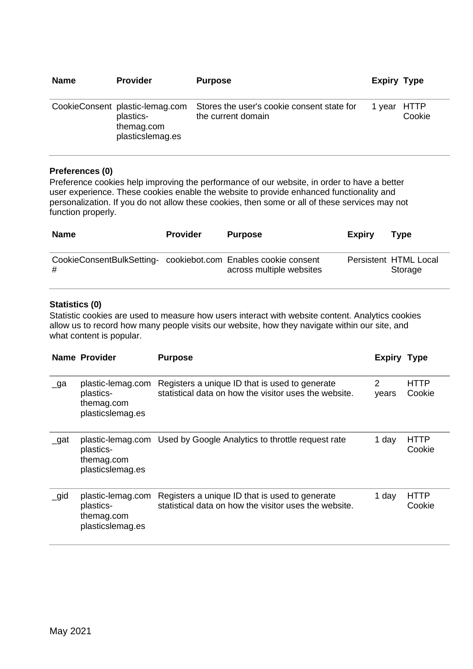| <b>Name</b> | <b>Provider</b>                                                                | <b>Purpose</b>                                                   | <b>Expiry Type</b> |        |
|-------------|--------------------------------------------------------------------------------|------------------------------------------------------------------|--------------------|--------|
|             | CookieConsent plastic-lemag.com<br>plastics-<br>themag.com<br>plasticslemag.es | Stores the user's cookie consent state for<br>the current domain | 1 year HTTP        | Cookie |

#### **Preferences (0)**

Preference cookies help improving the performance of our website, in order to have a better user experience. These cookies enable the website to provide enhanced functionality and personalization. If you do not allow these cookies, then some or all of these services may not function properly.

| <b>Name</b>                                                         | <b>Provider</b> | <b>Purpose</b>           | <b>Expiry</b> | Type                             |
|---------------------------------------------------------------------|-----------------|--------------------------|---------------|----------------------------------|
| CookieConsentBulkSetting- cookiebot.com Enables cookie consent<br># |                 | across multiple websites |               | Persistent HTML Local<br>Storage |

## **Statistics (0)**

Statistic cookies are used to measure how users interact with website content. Analytics cookies allow us to record how many people visits our website, how they navigate within our site, and what content is popular.

|           | <b>Name Provider</b>                                             | <b>Purpose</b>                                                                                          | <b>Expiry Type</b> |                       |
|-----------|------------------------------------------------------------------|---------------------------------------------------------------------------------------------------------|--------------------|-----------------------|
| $\Box$ ga | plastic-lemag.com<br>plastics-<br>themag.com<br>plasticslemag.es | Registers a unique ID that is used to generate<br>statistical data on how the visitor uses the website. | 2<br>vears         | HTTP<br>Cookie        |
| $\_$ gat  | plastics-<br>themag.com<br>plasticslemag.es                      | plastic-lemag.com Used by Google Analytics to throttle request rate                                     | 1 day              | HTTP<br>Cookie        |
| $\_gid$   | plastic-lemag.com<br>plastics-<br>themag.com<br>plasticslemag.es | Registers a unique ID that is used to generate<br>statistical data on how the visitor uses the website. | 1 day              | <b>HTTP</b><br>Cookie |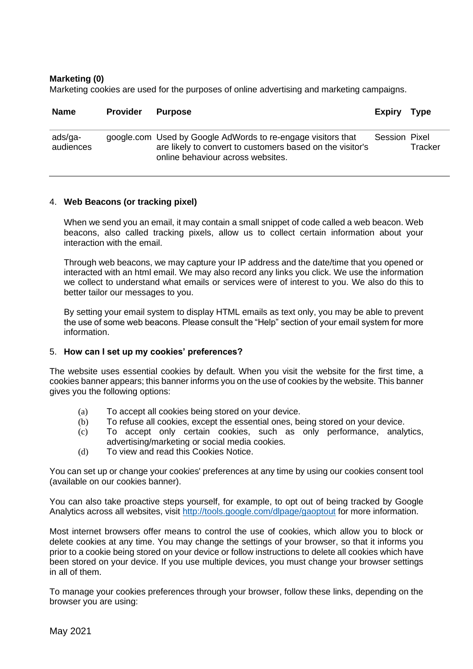## **Marketing (0)**

Marketing cookies are used for the purposes of online advertising and marketing campaigns.

| <b>Name</b>          | Provider | <b>Purpose</b>                                                                                                                                                 | Expiry Type          |         |
|----------------------|----------|----------------------------------------------------------------------------------------------------------------------------------------------------------------|----------------------|---------|
| ads/ga-<br>audiences |          | google.com Used by Google AdWords to re-engage visitors that<br>are likely to convert to customers based on the visitor's<br>online behaviour across websites. | <b>Session Pixel</b> | Tracker |

#### 4. **Web Beacons (or tracking pixel)**

When we send you an email, it may contain a small snippet of code called a web beacon. Web beacons, also called tracking pixels, allow us to collect certain information about your interaction with the email.

Through web beacons, we may capture your IP address and the date/time that you opened or interacted with an html email. We may also record any links you click. We use the information we collect to understand what emails or services were of interest to you. We also do this to better tailor our messages to you.

By setting your email system to display HTML emails as text only, you may be able to prevent the use of some web beacons. Please consult the "Help" section of your email system for more information.

#### 5. **How can I set up my cookies' preferences?**

The website uses essential cookies by default. When you visit the website for the first time, a cookies banner appears; this banner informs you on the use of cookies by the website. This banner gives you the following options:

- (a) To accept all cookies being stored on your device.
- (b) To refuse all cookies, except the essential ones, being stored on your device.
- (c) To accept only certain cookies, such as only performance, analytics, advertising/marketing or social media cookies.
- (d) To view and read this Cookies Notice.

You can set up or change your cookies' preferences at any time by using our cookies consent tool (available on our cookies banner).

You can also take proactive steps yourself, for example, to opt out of being tracked by Google Analytics across all websites, visit<http://tools.google.com/dlpage/gaoptout> for more information.

Most internet browsers offer means to control the use of cookies, which allow you to block or delete cookies at any time. You may change the settings of your browser, so that it informs you prior to a cookie being stored on your device or follow instructions to delete all cookies which have been stored on your device. If you use multiple devices, you must change your browser settings in all of them.

To manage your cookies preferences through your browser, follow these links, depending on the browser you are using: